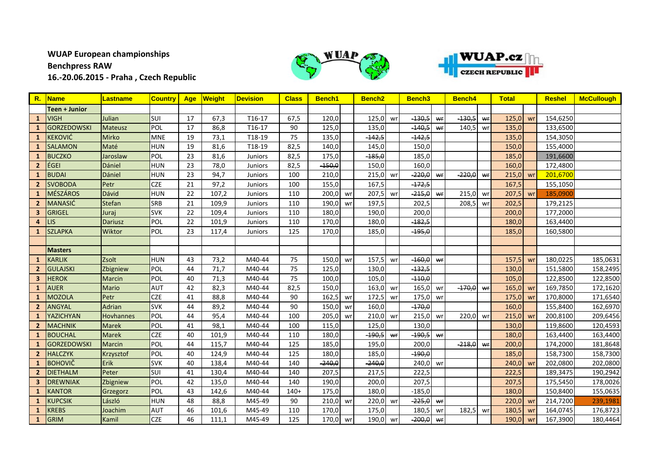## **WUAP European championships Benchpress RAW**

**16.-20.06.2015 - Praha , Czech Republic**





|                | R. Name              | Lastname         | <b>Country</b> | Age | Weight | <b>Devision</b> | <b>Class</b> | Bench1   |    | Bench <sub>2</sub> |    | Bench <sub>3</sub> |    | <b>Bench4</b> |    | <b>Total</b> |    | <b>Reshel</b> | <b>McCullough</b> |
|----------------|----------------------|------------------|----------------|-----|--------|-----------------|--------------|----------|----|--------------------|----|--------------------|----|---------------|----|--------------|----|---------------|-------------------|
|                | <b>Teen + Junior</b> |                  |                |     |        |                 |              |          |    |                    |    |                    |    |               |    |              |    |               |                   |
| -1             | <b>VIGH</b>          | Julian           | SUI            | 17  | 67,3   | T16-17          | 67,5         | 120,0    |    | 125,0              | wr | $-130,5$           | wr | $-130,5$      | wr | 125,0        | wr | 154,6250      |                   |
| -1             | <b>GORZEDOWSKI</b>   | <b>Mateusz</b>   | <b>POL</b>     | 17  | 86,8   | T16-17          | 90           | 125,0    |    | 135,0              |    | $-140,5$           | wr | 140,5         | wr | 135,0        |    | 133,6500      |                   |
| 1              | <b>KEKOVIĆ</b>       | <b>Mirko</b>     | <b>MNE</b>     | 19  | 73,1   | T18-19          | 75           | 135,0    |    | $-142,5$           |    | $-142,5$           |    |               |    | 135,0        |    | 154,3050      |                   |
| 1              | <b>SALAMON</b>       | Maté             | <b>HUN</b>     | 19  | 81,6   | T18-19          | 82,5         | 140,0    |    | 145,0              |    | 150,0              |    |               |    | 150,0        |    | 155,4000      |                   |
| $\mathbf{1}$   | <b>BUCZKO</b>        | Jaroslaw         | POL            | 23  | 81,6   | <b>Juniors</b>  | 82,5         | 175,0    |    | $-185,0$           |    | 185,0              |    |               |    | 185,0        |    | 191,6600      |                   |
| 2 <sup>2</sup> | EGEI                 | Dániel           | <b>HUN</b>     | 23  | 78,0   | <b>Juniors</b>  | 82,5         | $-150,0$ |    | 150,0              |    | 160,0              |    |               |    | 160,0        |    | 172,4800      |                   |
| $\mathbf{1}$   | <b>BUDAI</b>         | Dániel           | <b>HUN</b>     | 23  | 94,7   | <b>Juniors</b>  | 100          | 210,0    |    | 215,0              | wr | $-220,0$           | WF | $-220,0$      | wr | 215,0        | wr | 201,6700      |                   |
| $\overline{2}$ | <b>SVOBODA</b>       | Petr             | <b>CZE</b>     | 21  | 97,2   | <b>Juniors</b>  | 100          | 155,0    |    | 167,5              |    | $-172,5$           |    |               |    | 167,5        |    | 155,1050      |                   |
| 1              | <b>MÉSZÁROS</b>      | Dávid            | <b>HUN</b>     | 22  | 107,2  | <b>Juniors</b>  | 110          | 200,0    | wr | 207,5              | wr | $-215,0$           | wr | 215,0         | wr | 207,5        | wr | 185,0900      |                   |
| $\overline{2}$ | <b>MANASIĆ</b>       | Stefan           | SRB            | 21  | 109,9  | <b>Juniors</b>  | 110          | 190,0    | wr | 197,5              |    | 202,5              |    | 208,5         | wr | 202,5        |    | 179,2125      |                   |
| 3              | <b>GRIGEL</b>        | Juraj            | <b>SVK</b>     | 22  | 109,4  | <b>Juniors</b>  | 110          | 180,0    |    | 190,0              |    | 200,0              |    |               |    | 200,0        |    | 177,2000      |                   |
| 4              | LIS                  | <b>Dariusz</b>   | POL            | 22  | 101,9  | Juniors         | 110          | 170,0    |    | 180,0              |    | $-182,5$           |    |               |    | 180,0        |    | 163,4400      |                   |
| $\mathbf{1}$   | <b>SZLAPKA</b>       | Wiktor           | POL            | 23  | 117,4  | <b>Juniors</b>  | 125          | 170,0    |    | 185,0              |    | $-195,0$           |    |               |    | 185,0        |    | 160,5800      |                   |
|                |                      |                  |                |     |        |                 |              |          |    |                    |    |                    |    |               |    |              |    |               |                   |
|                | <b>Masters</b>       |                  |                |     |        |                 |              |          |    |                    |    |                    |    |               |    |              |    |               |                   |
|                | <b>KARLIK</b>        | Zsolt            | <b>HUN</b>     | 43  | 73,2   | M40-44          | 75           | 150,0    | wr | 157,5              | wr | $-160,0$           | wr |               |    | 157,5        | wr | 180,0225      | 185,0631          |
| $\overline{2}$ | <b>GULAJSKI</b>      | Zbigniew         | POL            | 44  | 71,7   | M40-44          | 75           | 125,0    |    | 130,0              |    | $-132,5$           |    |               |    | 130,0        |    | 151,5800      | 158,2495          |
| 3              | <b>HEROK</b>         | <b>Marcin</b>    | POL            | 40  | 71,3   | M40-44          | 75           | 100,0    |    | 105,0              |    | $-110,0$           |    |               |    | 105,0        |    | 122,8500      | 122,8500          |
| $\mathbf{1}$   | <b>AUER</b>          | <b>Mario</b>     | <b>AUT</b>     | 42  | 82,3   | M40-44          | 82,5         | 150,0    |    | 163,0              | wr | 165,0              | wr | $-170,0$      | WF | 165,0        | wr | 169,7850      | 172,1620          |
| 1              | <b>MOZOLA</b>        | Petr             | <b>CZE</b>     | 41  | 88,8   | M40-44          | 90           | 162,5    | wr | 172,5              | wr | 175,0              | wr |               |    | 175,0        | wr | 170,8000      | 171,6540          |
| $\overline{2}$ | ANGYAL               | Adrian           | <b>SVK</b>     | 44  | 89,2   | M40-44          | 90           | 150,0    | wr | 160,0              |    | $-170,0$           |    |               |    | 160,0        |    | 155,8400      | 162,6970          |
| $\mathbf{1}$   | YAZICHYAN            | <b>Hovhannes</b> | <b>POL</b>     | 44  | 95,4   | M40-44          | 100          | 205,0    | wr | 210,0              | wr | 215,0              | wr | 220,0         | wr | 215,0        | wr | 200,8100      | 209,6456          |
| $\mathbf{2}$   | <b>MACHNIK</b>       | <b>Marek</b>     | POL            | 41  | 98,1   | M40-44          | 100          | 115,0    |    | 125,0              |    | 130,0              |    |               |    | 130,0        |    | 119,8600      | 120,4593          |
| 1              | <b>BOUCHAL</b>       | <b>Marek</b>     | <b>CZE</b>     | 40  | 101,9  | M40-44          | 110          | 180,0    |    | $-190,5$           | wr | $-190,5$           | wr |               |    | 180,0        |    | 163,4400      | 163,4400          |
|                | <b>GORZEDOWSKI</b>   | <b>Marcin</b>    | POL            | 44  | 115,7  | M40-44          | 125          | 185,0    |    | 195,0              |    | 200,0              |    | $-218,0$      | wr | 200,0        |    | 174,2000      | 181,8648          |
| $\overline{2}$ | <b>HALCZYK</b>       | Krzysztof        | POL            | 40  | 124,9  | M40-44          | 125          | 180,0    |    | 185,0              |    | $-190,0$           |    |               |    | 185,0        |    | 158,7300      | 158,7300          |
| 1              | <b>BOHOVIČ</b>       | Erik             | <b>SVK</b>     | 40  | 138,4  | M40-44          | 140          | $-240,0$ |    | $-240,0$           |    | 240,0              | wr |               |    | 240,0        | wr | 202,0800      | 202,0800          |
| $\overline{2}$ | <b>DIETHALM</b>      | Peter            | SUI            | 41  | 130,4  | M40-44          | 140          | 207,5    |    | 217,5              |    | 222,5              |    |               |    | 222,5        |    | 189,3475      | 190,2942          |
| 3              | <b>DREWNIAK</b>      | Zbigniew         | POL            | 42  | 135,0  | M40-44          | 140          | 190,0    |    | 200,0              |    | 207,5              |    |               |    | 207,5        |    | 175,5450      | 178,0026          |
| 1              | <b>KANTOR</b>        | Grzegorz         | POL            | 43  | 142,6  | M40-44          | $140+$       | 175,0    |    | 180,0              |    | $-185,0$           |    |               |    | 180,0        |    | 150,8400      | 155,0635          |
| 1              | <b>KUPCSIK</b>       | László           | <b>HUN</b>     | 48  | 88,8   | M45-49          | 90           | 210,0    | wr | 220,0              | wr | $-225,0$           | wr |               |    | 220,0        | wr | 214,7200      | 239,1981          |
|                | <b>KREBS</b>         | Joachim          | <b>AUT</b>     | 46  | 101,6  | M45-49          | 110          | 170,0    |    | 175,0              |    | 180,5              | wr | 182,5         | wr | 180,5        | wr | 164,0745      | 176,8723          |
| $\mathbf{1}$   | <b>GRIM</b>          | Kamil            | <b>CZE</b>     | 46  | 111,1  | M45-49          | 125          | 170,0    | wr | 190,0              | wr | $-200,0$           | wr |               |    | 190,0        | wr | 167,3900      | 180,4464          |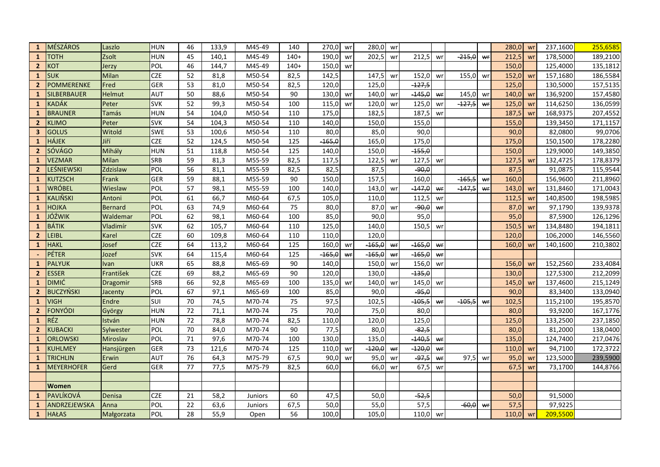| $\mathbf{1}$            | <b>MÉSZÁROS</b>    | Laszlo         | <b>HUN</b> | 46              | 133,9 | M45-49         | 140    | 270,0    | wr | 280,0    | wr |          |    |          |    | 280,0 | wr | 237,1600 | 255,6585 |
|-------------------------|--------------------|----------------|------------|-----------------|-------|----------------|--------|----------|----|----------|----|----------|----|----------|----|-------|----|----------|----------|
| $\mathbf{1}$            | <b>TOTH</b>        | Zsolt          | <b>HUN</b> | 45              | 140,1 | M45-49         | $140+$ | 190,0    | wr | 202,5    | wr | 212,5    | wr | $-215,0$ | wr | 212,5 | wr | 178,5000 | 189,2100 |
| $\overline{2}$          | <b>KOT</b>         | Jerzy          | POL        | 46              | 144,7 | M45-49         | $140+$ | 150,0    | wr |          |    |          |    |          |    | 150,0 |    | 125,4000 | 135,1812 |
| $\mathbf{1}$            | <b>SUK</b>         | Milan          | <b>CZE</b> | 52              | 81,8  | M50-54         | 82,5   | 142,5    |    | 147,5    | wr | 152,0    | wr | 155,0    | wr | 152,0 | wr | 157,1680 | 186,5584 |
| $\overline{2}$          | <b>POMMERENKE</b>  | Fred           | <b>GER</b> | 53              | 81,0  | M50-54         | 82,5   | 120.0    |    | 125.0    |    | $-127,5$ |    |          |    | 125,0 |    | 130,5000 | 157,5135 |
| 1                       | <b>SILBERBAUER</b> | Helmut         | <b>AUT</b> | 50              | 88,6  | M50-54         | 90     | 130,0    | wr | 140,0    | wr | $-145,0$ | wr | 145,0    | wr | 140,0 | wr | 136,9200 | 157,4580 |
| $\mathbf{1}$            | <b>KADÁK</b>       | Peter          | <b>SVK</b> | 52              | 99,3  | M50-54         | 100    | 115,0    | wr | 120,0    | wr | 125,0    | wr | $-127,5$ | wr | 125,0 | wr | 114,6250 | 136,0599 |
| $\mathbf{1}$            | <b>BRAUNER</b>     | Tamás          | <b>HUN</b> | 54              | 104,0 | M50-54         | 110    | 175,0    |    | 182,5    |    | 187,5    | wr |          |    | 187,5 | wr | 168,9375 | 207,4552 |
| $\overline{2}$          | <b>KLIMO</b>       | Peter          | <b>SVK</b> | 54              | 104,3 | M50-54         | 110    | 140,0    |    | 150,0    |    | 155,0    |    |          |    | 155,0 |    | 139,3450 | 171,1157 |
| $\overline{\mathbf{3}}$ | <b>GOLUS</b>       | Witold         | <b>SWE</b> | $\overline{53}$ | 100,6 | $M50-54$       | 110    | 80,0     |    | 85,0     |    | 90,0     |    |          |    | 90,0  |    | 82,0800  | 99,0706  |
| $\mathbf{1}$            | <b>HÁJEK</b>       | Jiří           | <b>CZE</b> | 52              | 124,5 | M50-54         | 125    | $-165,0$ |    | 165,0    |    | 175,0    |    |          |    | 175,0 |    | 150,1500 | 178,2280 |
| $\overline{2}$          | <b>SÓVÁGO</b>      | Mihály         | <b>HUN</b> | 51              | 118,8 | M50-54         | 125    | 140,0    |    | 150,0    |    | $-155,0$ |    |          |    | 150,0 |    | 129,9000 | 149,3850 |
| $\mathbf{1}$            | <b>VEZMAR</b>      | Milan          | <b>SRB</b> | 59              | 81,3  | M55-59         | 82,5   | 117,5    |    | 122,5    | wr | 127,5    | wr |          |    | 127,5 | wr | 132,4725 | 178,8379 |
| $\overline{2}$          | LEŚNIEWSKI         | Zdzislaw       | POL        | 56              | 81,1  | M55-59         | 82,5   | 82,5     |    | 87,5     |    | $-90,0$  |    |          |    | 87,5  |    | 91,0875  | 115,9544 |
| $\mathbf{1}$            | <b>KUTZSCH</b>     | Frank          | <b>GER</b> | 59              | 88,1  | M55-59         | 90     | 150,0    |    | 157,5    |    | 160,0    |    | $-165,5$ | wr | 160,0 |    | 156,9600 | 211,8960 |
| -1                      | <b>WRÓBEL</b>      | Wieslaw        | POL        | 57              | 98,1  | M55-59         | 100    | 140,0    |    | 143,0    | wr | $-147,0$ | wr | $-147,5$ | wr | 143,0 | wr | 131,8460 | 171,0043 |
| $\mathbf{1}$            | <b>KALIŇSKI</b>    | Antoni         | POL        | 61              | 66,7  | M60-64         | 67,5   | 105,0    |    | 110,0    |    | 112,5    | wr |          |    | 112,5 | wr | 140,8500 | 198,5985 |
| $\mathbf{1}$            | <b>HOJKA</b>       | <b>Bernard</b> | POL        | 63              | 74,9  | M60-64         | 75     | 80,0     |    | 87,0     | wr | $-90,0$  | wr |          |    | 87,0  | wr | 97,1790  | 139,9378 |
| $\mathbf{1}$            | JÓŹWIK             | Waldemar       | POL        | 62              | 98,1  | M60-64         | 100    | 85,0     |    | 90,0     |    | 95,0     |    |          |    | 95,0  |    | 87,5900  | 126,1296 |
| $\mathbf{1}$            | <b>BÁTIK</b>       | Vladimír       | <b>SVK</b> | 62              | 105,7 | M60-64         | 110    | 125,0    |    | 140,0    |    | 150,5    | wr |          |    | 150,5 | wr | 134,8480 | 194,1811 |
| $\overline{2}$          | LEIBL              | Karel          | <b>CZE</b> | 60              | 109,8 | M60-64         | 110    | 110,0    |    | 120,0    |    |          |    |          |    | 120,0 |    | 106,2000 | 146,5560 |
| 1                       | <b>HAKL</b>        | Josef          | <b>CZE</b> | 64              | 113,2 | M60-64         | 125    | 160,0    | wr | $-165,0$ | wr | $-165,0$ | wr |          |    | 160,0 | wr | 140,1600 | 210,3802 |
|                         | PÉTER              | Jozef          | <b>SVK</b> | 64              | 115,4 | M60-64         | 125    | $-165,0$ | wr | $-165,0$ | wr | $-165,0$ | WF |          |    |       |    |          |          |
| 1                       | <b>PALYUK</b>      | Ivan           | <b>UKR</b> | 65              | 88,8  | M65-69         | 90     | 140,0    |    | 150,0    | wr | 156,0    | wr |          |    | 156,0 | wr | 152,2560 | 233,4084 |
| $\overline{2}$          | <b>ESSER</b>       | František      | <b>CZE</b> | 69              | 88,2  | M65-69         | 90     | 120,0    |    | 130,0    |    | $-135,0$ |    |          |    | 130,0 |    | 127,5300 | 212,2099 |
| 1                       | <b>DIMIĆ</b>       | Dragomir       | SRB        | 66              | 92,8  | M65-69         | 100    | 135,0    | wr | 140,0    | wr | 145,0    | wr |          |    | 145,0 | wr | 137,4600 | 215,1249 |
| $\overline{2}$          | <b>BUCZYŃSKI</b>   | Jacenty        | POL        | 67              | 97,1  | M65-69         | 100    | 85,0     |    | 90,0     |    | $-95,0$  |    |          |    | 90,0  |    | 83,3400  | 133,0940 |
| $\mathbf{1}$            | <b>VIGH</b>        | Endre          | SUI        | 70              | 74,5  | M70-74         | 75     | 97,5     |    | 102,5    |    | $-105,5$ | wr | $-105,5$ | wr | 102,5 |    | 115,2100 | 195,8570 |
| $\overline{2}$          | <b>FONYÓDI</b>     | György         | HUN        | 72              | 71,1  | M70-74         | 75     | 70,0     |    | 75,0     |    | 80,0     |    |          |    | 80,0  |    | 93,9200  | 167,1776 |
| -1                      | RÉZ                | István         | <b>HUN</b> | 72              | 78,8  | M70-74         | 82,5   | 110,0    |    | 120,0    |    | 125,0    |    |          |    | 125,0 |    | 133,2500 | 237,1850 |
| $\overline{2}$          | <b>KUBACKI</b>     | Sylwester      | POL        | 70              | 84,0  | M70-74         | 90     | 77,5     |    | 80,0     |    | $-82,5$  |    |          |    | 80,0  |    | 81,2000  | 138,0400 |
| $\mathbf{1}$            | ORLOWSKI           | Miroslav       | POL        | 71              | 97,6  | M70-74         | 100    | 130,0    |    | 135,0    |    | $-140,5$ | Wf |          |    | 135,0 |    | 124,7400 | 217,0476 |
| $\mathbf{1}$            | <b>KUHLMEY</b>     | Hansjürgen     | <b>GER</b> | 73              | 121,6 | M70-74         | 125    | 110,0    | wr | $-120,0$ | wr | $-120,0$ | wr |          |    | 110,0 | wr | 94,7100  | 172,3722 |
| $\mathbf{1}$            | <b>TRICHLIN</b>    | Erwin          | <b>AUT</b> | 76              | 64,3  | M75-79         | 67,5   | 90,0     | wr | 95,0     | wr | $-97,5$  | wr | 97,5     | wr | 95,0  | wr | 123,5000 | 239,5900 |
| $\mathbf{1}$            | <b>MEYERHOFER</b>  | Gerd           | <b>GER</b> | 77              | 77,5  | M75-79         | 82,5   | 60,0     |    | 66,0     | wr | 67,5     | wr |          |    | 67,5  | wr | 73,1700  | 144,8766 |
|                         |                    |                |            |                 |       |                |        |          |    |          |    |          |    |          |    |       |    |          |          |
|                         | <b>Women</b>       |                |            |                 |       |                |        |          |    |          |    |          |    |          |    |       |    |          |          |
| $\mathbf{1}$            | PAVLÍKOVÁ          | Denisa         | <b>CZE</b> | 21              | 58,2  | <b>Juniors</b> | 60     | 47,5     |    | 50,0     |    | $-52,5$  |    |          |    | 50,0  |    | 91,5000  |          |
| $\mathbf{1}$            | ANDRZEJEWSKA       | Anna           | POL        | 22              | 63,6  | Juniors        | 67,5   | 50,0     |    | 55,0     |    | 57,5     |    | $-60,0$  | Wľ | 57,5  |    | 97,9225  |          |
| $\mathbf{1}$            | <b>HAŁAS</b>       | Małgorzata     | POL        | 28              | 55,9  | Open           | 56     | 100,0    |    | 105,0    |    | 110,0 wr |    |          |    | 110,0 | wr | 209,5500 |          |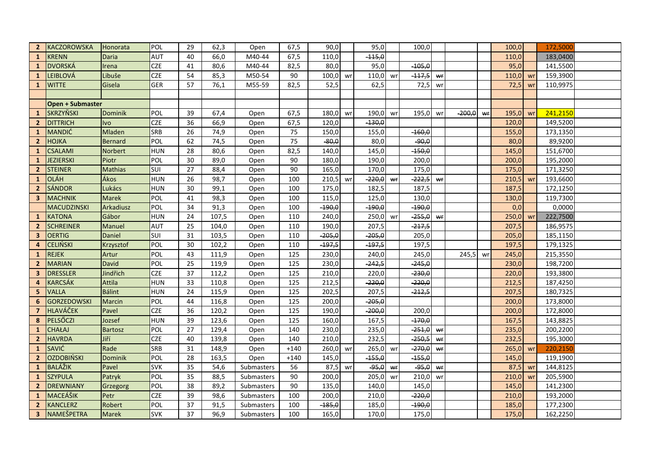| $\overline{2}$ | KACZOROWSKA             | Honorata       | POL        | 29 | 62,3  | Open       | 67,5   | 90,0     |    | 95,0     |    | 100,0    |    |          |    | 100,0      |    | 172,5000 |  |
|----------------|-------------------------|----------------|------------|----|-------|------------|--------|----------|----|----------|----|----------|----|----------|----|------------|----|----------|--|
| $\mathbf{1}$   | <b>KRENN</b>            | Daria          | <b>AUT</b> | 40 | 66,0  | M40-44     | 67,5   | 110,0    |    | $-115,0$ |    |          |    |          |    | 110,0      |    | 183,0400 |  |
| $\mathbf{1}$   | DVORSKÁ                 | Irena          | <b>CZE</b> | 41 | 80,6  | M40-44     | 82,5   | 80,0     |    | 95,0     |    | $-105,0$ |    |          |    | 95,0       |    | 141,5500 |  |
| 1              | LEIBLOVÁ                | Libuše         | <b>CZE</b> | 54 | 85,3  | M50-54     | 90     | 100,0    | wr | 110,0    | wr | $-117,5$ | wr |          |    | 110,0      | wr | 159,3900 |  |
| $\mathbf{1}$   | <b>WITTE</b>            | Gisela         | <b>GER</b> | 57 | 76,1  | M55-59     | 82,5   | 52,5     |    | 62,5     |    | 72,5     | wr |          |    | 72,5       | wr | 110,9975 |  |
|                |                         |                |            |    |       |            |        |          |    |          |    |          |    |          |    |            |    |          |  |
|                | <b>Open + Submaster</b> |                |            |    |       |            |        |          |    |          |    |          |    |          |    |            |    |          |  |
| $\mathbf{1}$   | <b>SKRZYŇSKI</b>        | Dominik        | POL        | 39 | 67,4  | Open       | 67,5   | 180,0    | wr | 190,0    | wr | 195,0    | wr | $-200,0$ | wr | 195,0      | wr | 241,2150 |  |
| $\mathbf{2}$   | <b>DITTRICH</b>         | Ivo            | <b>CZE</b> | 36 | 66,9  | Open       | 67,5   | 120,0    |    | $-130,0$ |    |          |    |          |    | 120,0      |    | 149,5200 |  |
| $\mathbf{1}$   | <b>MANDIĆ</b>           | Mladen         | <b>SRB</b> | 26 | 74,9  | Open       | 75     | 150,0    |    | 155,0    |    | $-160,0$ |    |          |    | 155,0      |    | 173,1350 |  |
| $\mathbf{2}$   | <b>HOJKA</b>            | <b>Bernard</b> | <b>POL</b> | 62 | 74,5  | Open       | 75     | $-80,0$  |    | 80,0     |    | $-90,0$  |    |          |    | 80,0       |    | 89,9200  |  |
| $\mathbf{1}$   | <b>CSALAMI</b>          | Norbert        | <b>HUN</b> | 28 | 80,6  | Open       | 82,5   | 140,0    |    | 145,0    |    | $-150,0$ |    |          |    | 145,0      |    | 151,6700 |  |
| $\mathbf{1}$   | <b>JEZIERSKI</b>        | Piotr          | POL        | 30 | 89,0  | Open       | 90     | 180,0    |    | 190,0    |    | 200,0    |    |          |    | 200,0      |    | 195,2000 |  |
| $\overline{2}$ | <b>STEINER</b>          | <b>Mathias</b> | SUI        | 27 | 88,4  | Open       | 90     | 165,0    |    | 170,0    |    | 175,0    |    |          |    | 175,0      |    | 171,3250 |  |
| $\mathbf{1}$   | <b>OLÁH</b>             | Ákos           | <b>HUN</b> | 26 | 98,7  | Open       | 100    | 210,5    | wr | $-220,0$ | wr | $-222,5$ | wr |          |    | 210,5      | wr | 193,6600 |  |
| $\mathbf{2}$   | <b>SÁNDOR</b>           | Lukács         | <b>HUN</b> | 30 | 99,1  | Open       | 100    | 175,0    |    | 182,5    |    | 187,5    |    |          |    | 187,5      |    | 172,1250 |  |
| $\mathbf{3}$   | MACHNIK                 | <b>Marek</b>   | POL        | 41 | 98,3  | Open       | 100    | 115,0    |    | 125,0    |    | 130,0    |    |          |    | 130,0      |    | 119,7300 |  |
|                | MACUDZINSKI             | Arkadiusz      | POL        | 34 | 91,3  | Open       | 100    | $-190,0$ |    | $-190,0$ |    | $-190,0$ |    |          |    | 0,0        |    | 0,0000   |  |
| $\mathbf{1}$   | KATONA                  | Gábor          | <b>HUN</b> | 24 | 107,5 | Open       | 110    | 240,0    |    | 250,0    | wr | $-255,0$ | wr |          |    | 250,0      | wr | 222,7500 |  |
| $\overline{2}$ | <b>SCHREINER</b>        | Manuel         | <b>AUT</b> | 25 | 104,0 | Open       | 110    | 190,0    |    | 207,5    |    | $-217,5$ |    |          |    | 207,5      |    | 186,9575 |  |
| $\mathbf{3}$   | <b>OERTIG</b>           | Daniel         | SUI        | 31 | 103,5 | Open       | 110    | $-205,0$ |    | $-205,0$ |    | 205,0    |    |          |    | 205,0      |    | 185,1150 |  |
| 4              | <b>CELIŃSKI</b>         | Krzysztof      | POL        | 30 | 102,2 | Open       | 110    | $-197,5$ |    | $-197,5$ |    | 197,5    |    |          |    | 197,5      |    | 179,1325 |  |
| $\mathbf{1}$   | <b>REJEK</b>            | Artur          | POL        | 43 | 111,9 | Open       | 125    | 230,0    |    | 240,0    |    | 245,0    |    | 245,5    | wr | 245,0      |    | 215,3550 |  |
| $\overline{2}$ | <b>MARIAN</b>           | David          | <b>POL</b> | 25 | 119,9 | Open       | 125    | 230,0    |    | $-242,5$ |    | $-245,0$ |    |          |    | 230,0      |    | 198,7200 |  |
| 3              | <b>DRESSLER</b>         | Jindřich       | <b>CZE</b> | 37 | 112,2 | Open       | 125    | 210,0    |    | 220,0    |    | $-230,0$ |    |          |    | 220,0      |    | 193,3800 |  |
| 4              | <b>KARCSÁK</b>          | Attila         | <b>HUN</b> | 33 | 110,8 | Open       | 125    | 212,5    |    | $-220,0$ |    | $-220,0$ |    |          |    | 212,5      |    | 187,4250 |  |
| 5              | <b>VALLA</b>            | <b>Bálint</b>  | <b>HUN</b> | 24 | 115,9 | Open       | 125    | 202,5    |    | 207,5    |    | $-212,5$ |    |          |    | 207,5      |    | 180,7325 |  |
| 6              | <b>GORZEDOWSKI</b>      | Marcin         | <b>POL</b> | 44 | 116,8 | Open       | 125    | 200,0    |    | $-205,0$ |    |          |    |          |    | 200,0      |    | 173,8000 |  |
| $\overline{7}$ | <b>HLAVÁČEK</b>         | Pavel          | <b>CZE</b> | 36 | 120,2 | Open       | 125    | 190,0    |    | $-200,0$ |    | 200,0    |    |          |    | 200,0      |    | 172,8000 |  |
| 8              | PELSŐCZI                | Jozsef         | <b>HUN</b> | 39 | 123,6 | Open       | 125    | 160,0    |    | 167,5    |    | $-170,0$ |    |          |    | 167,5      |    | 143,8825 |  |
| $\mathbf{1}$   | <b>CHAŁAJ</b>           | <b>Bartosz</b> | POL        | 27 | 129,4 | Open       | 140    | 230,0    |    | 235,0    |    | $-251,0$ | wr |          |    | 235,0      |    | 200,2200 |  |
| $\overline{2}$ | <b>HAVRDA</b>           | Jiří           | <b>CZE</b> | 40 | 139,8 | Open       | 140    | 210,0    |    | 232,5    |    | $-250,5$ | wr |          |    | 232,5      |    | 195,3000 |  |
| $\mathbf{1}$   | SAVIĆ                   | Rade           | <b>SRB</b> | 31 | 148,9 | Open       | $+140$ | 260,0    | wr | 265,0    | wr | $-270,0$ | Wf |          |    | $265,0$ wr |    | 220,2150 |  |
| $\mathbf{2}$   | <b>OZDOBIŃSKI</b>       | <b>Dominik</b> | POL        | 28 | 163,5 | Open       | $+140$ | 145,0    |    | $-155,0$ |    | $-155,0$ |    |          |    | 145,0      |    | 119,1900 |  |
| $\mathbf{1}$   | BALÁŽIK                 | Pavel          | <b>SVK</b> | 35 | 54,6  | Submasters | 56     | 87,5     | wr | $-95,0$  | wr | $-95,0$  | wr |          |    | 87,5       | wr | 144,8125 |  |
| $\mathbf{1}$   | <b>SZYPULA</b>          | Patryk         | POL        | 35 | 88,5  | Submasters | 90     | 200,0    |    | 205,0    | wr | 210,0    | wr |          |    | 210,0      | wr | 205,5900 |  |
| $\overline{2}$ | <b>DREWNIANY</b>        | Grzegorg       | <b>POL</b> | 38 | 89,2  | Submasters | 90     | 135,0    |    | 140,0    |    | 145,0    |    |          |    | 145,0      |    | 141,2300 |  |
| $\mathbf{1}$   | MACEÁŠIK                | Petr           | <b>CZE</b> | 39 | 98,6  | Submasters | 100    | 200,0    |    | 210,0    |    | $-220,0$ |    |          |    | 210,0      |    | 193,2000 |  |
| 2 <sup>2</sup> | <b>KANCLERZ</b>         | Robert         | POL        | 37 | 91,5  | Submasters | 100    | $-185,0$ |    | 185,0    |    | $-190,0$ |    |          |    | 185,0      |    | 177,2300 |  |
| 3 <sup>1</sup> | NAMEŠPETRA              | <b>Marek</b>   | <b>SVK</b> | 37 | 96,9  | Submasters | 100    | 165,0    |    | 170,0    |    | 175,0    |    |          |    | 175,0      |    | 162,2250 |  |